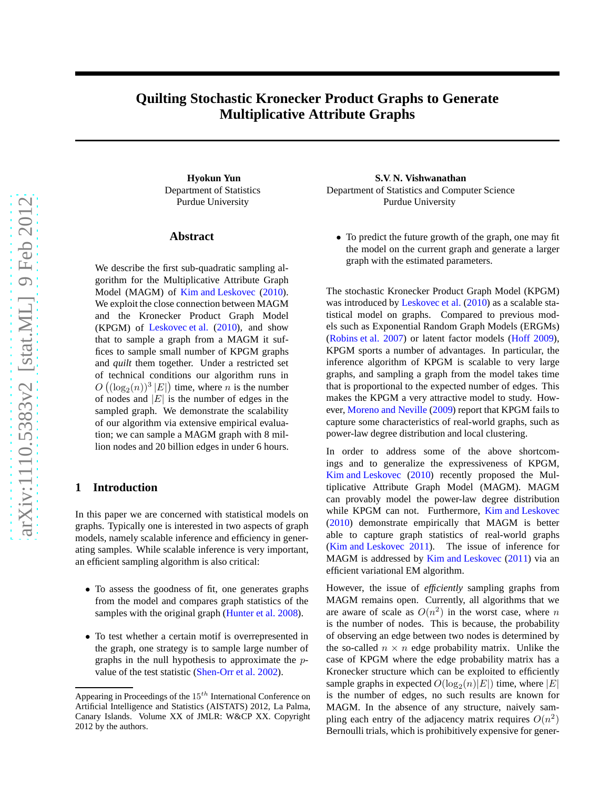# **Quilting Stochastic Kronecker Product Graphs to Generate Multiplicative Attribute Graphs**

Department of Statistics Purdue University

### **Abstract**

We describe the first sub-quadratic sampling algorithm for the Multiplicative Attribute Graph Model (MAGM) of [Kim and Leskovec](#page-8-0) [\(2010\)](#page-8-0). We exploit the close connection between MAGM and the Kronecker Product Graph Model (KPGM) of [Leskovec et al.](#page-8-1) [\(2010\)](#page-8-1), and show that to sample a graph from a MAGM it suffices to sample small number of KPGM graphs and *quilt* them together. Under a restricted set of technical conditions our algorithm runs in  $O\left((\log_2(n))^3 |E|\right)$  time, where *n* is the number of nodes and  $|E|$  is the number of edges in the sampled graph. We demonstrate the scalability of our algorithm via extensive empirical evaluation; we can sample a MAGM graph with 8 million nodes and 20 billion edges in under 6 hours.

## **1 Introduction**

In this paper we are concerned with statistical models on graphs. Typically one is interested in two aspects of graph models, namely scalable inference and efficiency in generating samples. While scalable inference is very important, an efficient sampling algorithm is also critical:

- To assess the goodness of fit, one generates graphs from the model and compares graph statistics of the samples with the original graph [\(Hunter et al. 2008\)](#page-8-2).
- To test whether a certain motif is overrepresented in the graph, one strategy is to sample large number of graphs in the null hypothesis to approximate the  $p$ value of the test statistic [\(Shen-Orr et al. 2002\)](#page-8-3).

**Hyokun Yun S.V**. **N. Vishwanathan** Department of Statistics and Computer Science Purdue University

> • To predict the future growth of the graph, one may fit the model on the current graph and generate a larger graph with the estimated parameters.

The stochastic Kronecker Product Graph Model (KPGM) was introduced by [Leskovec et al.](#page-8-1) [\(2010\)](#page-8-1) as a scalable statistical model on graphs. Compared to previous models such as Exponential Random Graph Models (ERGMs) [\(Robins et al. 2007\)](#page-8-4) or latent factor models [\(Hoff 2009\)](#page-8-5), KPGM sports a number of advantages. In particular, the inference algorithm of KPGM is scalable to very large graphs, and sampling a graph from the model takes time that is proportional to the expected number of edges. This makes the KPGM a very attractive model to study. However, [Moreno and Neville](#page-8-6) [\(2009\)](#page-8-6) report that KPGM fails to capture some characteristics of real-world graphs, such as power-law degree distribution and local clustering.

In order to address some of the above shortcomings and to generalize the expressiveness of KPGM, [Kim and Leskovec](#page-8-0) [\(2010](#page-8-0)) recently proposed the Multiplicative Attribute Graph Model (MAGM). MAGM can provably model the power-law degree distribution while KPGM can not. Furthermore, [Kim and Leskovec](#page-8-0) [\(2010\)](#page-8-0) demonstrate empirically that MAGM is better able to capture graph statistics of real-world graphs [\(Kim and Leskovec 2011\)](#page-8-7). The issue of inference for MAGM is addressed by [Kim and Leskovec](#page-8-7) [\(2011](#page-8-7)) via an efficient variational EM algorithm.

However, the issue of *efficiently* sampling graphs from MAGM remains open. Currently, all algorithms that we are aware of scale as  $O(n^2)$  in the worst case, where n is the number of nodes. This is because, the probability of observing an edge between two nodes is determined by the so-called  $n \times n$  edge probability matrix. Unlike the case of KPGM where the edge probability matrix has a Kronecker structure which can be exploited to efficiently sample graphs in expected  $O(\log_2(n)|E|)$  time, where  $|E|$ is the number of edges, no such results are known for MAGM. In the absence of any structure, naively sampling each entry of the adjacency matrix requires  $O(n^2)$ Bernoulli trials, which is prohibitively expensive for gener-

Appearing in Proceedings of the  $15^{th}$  International Conference on Artificial Intelligence and Statistics (AISTATS) 2012, La Palma, Canary Islands. Volume XX of JMLR: W&CP XX. Copyright 2012 by the authors.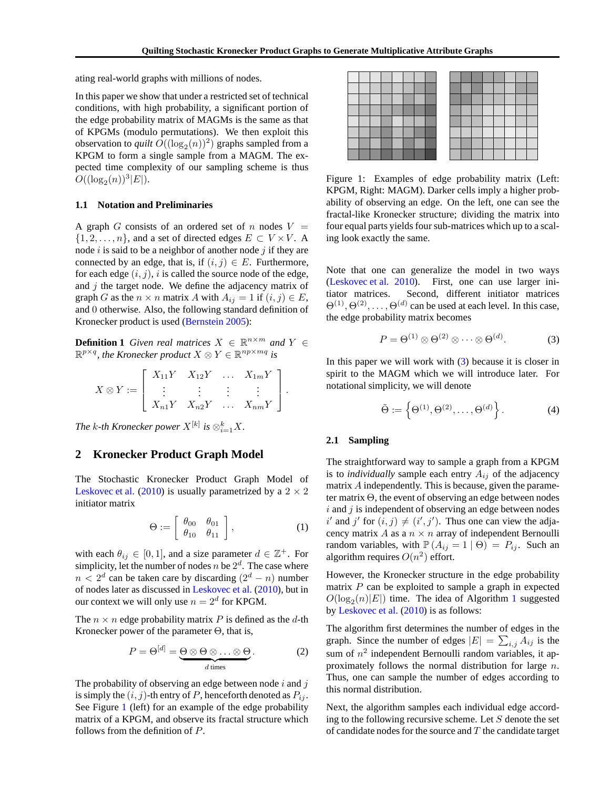ating real-world graphs with millions of nodes.

In this paper we show that under a restricted set of technical conditions, with high probability, a significant portion of the edge probability matrix of MAGMs is the same as that of KPGMs (modulo permutations). We then exploit this observation to *quilt*  $O((\log_2(n))^2)$  graphs sampled from a KPGM to form a single sample from a MAGM. The expected time complexity of our sampling scheme is thus  $O((\log_2(n))^3|E|).$ 

#### **1.1 Notation and Preliminaries**

A graph G consists of an ordered set of n nodes  $V =$  $\{1, 2, \ldots, n\}$ , and a set of directed edges  $E \subset V \times V$ . A node  $i$  is said to be a neighbor of another node  $j$  if they are connected by an edge, that is, if  $(i, j) \in E$ . Furthermore, for each edge  $(i, j)$ , i is called the source node of the edge, and  $j$  the target node. We define the adjacency matrix of graph G as the  $n \times n$  matrix A with  $A_{ij} = 1$  if  $(i, j) \in E$ , and 0 otherwise. Also, the following standard definition of Kronecker product is used [\(Bernstein 2005\)](#page-8-8):

**Definition 1** *Given real matrices*  $X \in \mathbb{R}^{n \times m}$  *and*  $Y \in$  $\mathbb{R}^{p \times q}$ , the Kronecker product  $X \otimes Y \in \mathbb{R}^{np \times mq}$  is

$$
X \otimes Y := \left[ \begin{array}{cccc} X_{11}Y & X_{12}Y & \dots & X_{1m}Y \\ \vdots & \vdots & \vdots & \vdots \\ X_{n1}Y & X_{n2}Y & \dots & X_{nm}Y \end{array} \right].
$$

*The k-th Kronecker power*  $X^{[k]}$  *is*  $\otimes_{i=1}^k X$ *.* 

## **2 Kronecker Product Graph Model**

The Stochastic Kronecker Product Graph Model of [Leskovec et al.](#page-8-1) [\(2010\)](#page-8-1) is usually parametrized by a  $2 \times 2$ initiator matrix

$$
\Theta := \left[ \begin{array}{cc} \theta_{00} & \theta_{01} \\ \theta_{10} & \theta_{11} \end{array} \right],\tag{1}
$$

with each  $\theta_{ij} \in [0, 1]$ , and a size parameter  $d \in \mathbb{Z}^+$ . For simplicity, let the number of nodes  $n$  be  $2<sup>d</sup>$ . The case where  $n < 2<sup>d</sup>$  can be taken care by discarding  $(2<sup>d</sup> - n)$  number of nodes later as discussed in [Leskovec et al.](#page-8-1) [\(2010\)](#page-8-1), but in our context we will only use  $n = 2^d$  for KPGM.

The  $n \times n$  edge probability matrix P is defined as the d-th Kronecker power of the parameter  $\Theta$ , that is,

$$
P = \Theta^{[d]} = \underbrace{\Theta \otimes \Theta \otimes \ldots \otimes \Theta}_{d \text{ times}}.
$$
 (2)

The probability of observing an edge between node  $i$  and  $j$ is simply the  $(i, j)$ -th entry of P, henceforth denoted as  $P_{ij}$ . See Figure [1](#page-1-0) (left) for an example of the edge probability matrix of a KPGM, and observe its fractal structure which follows from the definition of P.

<span id="page-1-0"></span>Figure 1: Examples of edge probability matrix (Left: KPGM, Right: MAGM). Darker cells imply a higher probability of observing an edge. On the left, one can see the fractal-like Kronecker structure; dividing the matrix into four equal parts yields four sub-matrices which up to a scaling look exactly the same.

Note that one can generalize the model in two ways [\(Leskovec et al. 2010](#page-8-1)). First, one can use larger initiator matrices. Second, different initiator matrices  $\Theta^{(1)}, \Theta^{(2)}, \ldots, \Theta^{(d)}$  can be used at each level. In this case, the edge probability matrix becomes

<span id="page-1-1"></span>
$$
P = \Theta^{(1)} \otimes \Theta^{(2)} \otimes \cdots \otimes \Theta^{(d)}.
$$
 (3)

In this paper we will work with  $(3)$  because it is closer in spirit to the MAGM which we will introduce later. For notational simplicity, we will denote

<span id="page-1-2"></span>
$$
\tilde{\Theta} := \left\{ \Theta^{(1)}, \Theta^{(2)}, \dots, \Theta^{(d)} \right\}.
$$
 (4)

#### **2.1 Sampling**

The straightforward way to sample a graph from a KPGM is to *individually* sample each entry  $A_{ij}$  of the adjacency matrix A independently. This is because, given the parameter matrix Θ, the event of observing an edge between nodes  $i$  and  $j$  is independent of observing an edge between nodes i' and j' for  $(i, j) \neq (i', j')$ . Thus one can view the adjacency matrix A as a  $n \times n$  array of independent Bernoulli random variables, with  $\mathbb{P}(A_{ij} = 1 | \Theta) = P_{ij}$ . Such an algorithm requires  $O(n^2)$  effort.

However, the Kronecker structure in the edge probability matrix  $P$  can be exploited to sample a graph in expected  $O(\log_2(n)|E|)$  time. The idea of Algorithm [1](#page-2-0) suggested by [Leskovec et al.](#page-8-1) [\(2010\)](#page-8-1) is as follows:

The algorithm first determines the number of edges in the graph. Since the number of edges  $|E| = \sum_{i,j} A_{ij}$  is the sum of  $n^2$  independent Bernoulli random variables, it approximately follows the normal distribution for large n. Thus, one can sample the number of edges according to this normal distribution.

Next, the algorithm samples each individual edge according to the following recursive scheme. Let  $S$  denote the set of candidate nodes for the source and  $T$  the candidate target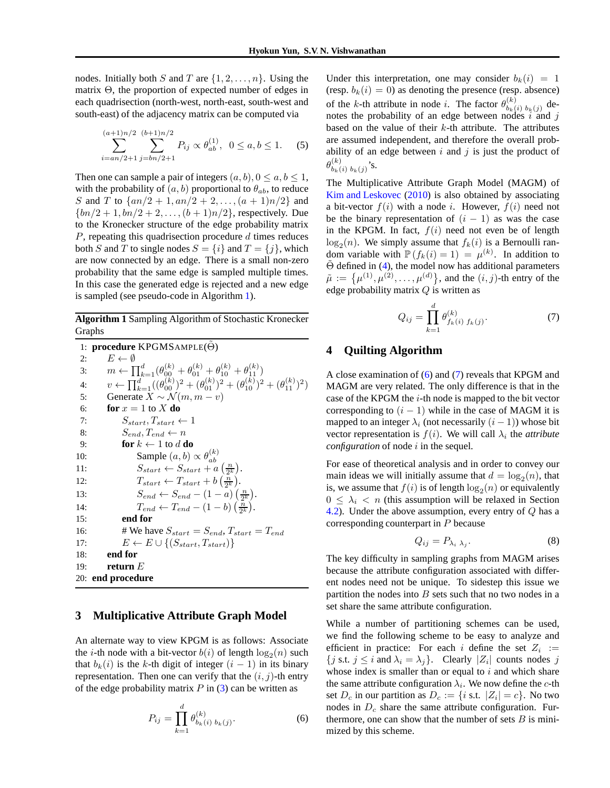nodes. Initially both S and T are  $\{1, 2, \ldots, n\}$ . Using the matrix Θ, the proportion of expected number of edges in each quadrisection (north-west, north-east, south-west and south-east) of the adjacency matrix can be computed via

$$
\sum_{i=an/2+1}^{(a+1)n/2} \sum_{j=bn/2+1}^{(b+1)n/2} P_{ij} \propto \theta_{ab}^{(1)}, \ \ 0 \le a, b \le 1. \tag{5}
$$

Then one can sample a pair of integers  $(a, b), 0 \le a, b \le 1$ , with the probability of  $(a, b)$  proportional to  $\theta_{ab}$ , to reduce S and T to  $\{an/2 + 1, an/2 + 2, ..., (a + 1)n/2\}$  and  ${bn/2 + 1, bn/2 + 2, ..., (b + 1)n/2}$ , respectively. Due to the Kronecker structure of the edge probability matrix  $P$ , repeating this quadrisection procedure  $d$  times reduces both S and T to single nodes  $S = \{i\}$  and  $T = \{j\}$ , which are now connected by an edge. There is a small non-zero probability that the same edge is sampled multiple times. In this case the generated edge is rejected and a new edge is sampled (see pseudo-code in Algorithm [1\)](#page-2-0).

**Algorithm 1** Sampling Algorithm of Stochastic Kronecker Graphs

```
1: procedure KPGMSAMPLE(Θ)
 2: E \leftarrow \emptyset3: m \leftarrow \prod_{k=1}^{d} (\theta_{00}^{(k)} + \theta_{01}^{(k)} + \theta_{10}^{(k)} + \theta_{11}^{(k)})4: v \leftarrow \prod_{k=1}^{d} ((\theta_{00}^{(k)})^2 + (\theta_{01}^{(k)})^2 + (\theta_{10}^{(k)})^2 + (\theta_{11}^{(k)})^2)5: Generate X \sim \mathcal{N}(m, m - v)6: for x = 1 to X do
 7: S_{start}, T_{start} \leftarrow 18: S_{end}, T_{end} \leftarrow n9: for k \leftarrow 1 to d do
10: Sample (a, b) \propto \theta_{ab}^{(k)}11: S_{start} \leftarrow S_{start} + a \left(\frac{n}{2^k}\right).12: T_{start} \leftarrow T_{start} + b\left(\frac{n}{2^k}\right).13: S_{end} \leftarrow S_{end} - (1 - a) \left(\frac{n}{2^k}\right).14: T_{end} \leftarrow T_{end} - (1 - b) \left(\frac{n}{2^k}\right).15: end for
16: # We have S_{start} = S_{end}, T_{start} = T_{end}17: E \leftarrow E \cup \{(S_{start}, T_{start})\}18: end for
19: return E
20: end procedure
```
## **3 Multiplicative Attribute Graph Model**

An alternate way to view KPGM is as follows: Associate the *i*-th node with a bit-vector  $b(i)$  of length  $\log_2(n)$  such that  $b_k(i)$  is the k-th digit of integer  $(i - 1)$  in its binary representation. Then one can verify that the  $(i, j)$ -th entry of the edge probability matrix  $P$  in [\(3\)](#page-1-1) can be written as

$$
P_{ij} = \prod_{k=1}^{d} \theta_{b_k(i) b_k(j)}^{(k)}.
$$
 (6)

Under this interpretation, one may consider  $b_k(i) = 1$ (resp.  $b_k(i) = 0$ ) as denoting the presence (resp. absence) of the k-th attribute in node *i*. The factor  $\theta_{h_i}^{(k)}$  $b_k(i) b_k(j)$  denotes the probability of an edge between nodes  $\hat{i}$  and  $\hat{j}$ based on the value of their  $k$ -th attribute. The attributes are assumed independent, and therefore the overall probability of an edge between  $i$  and  $j$  is just the product of  $\theta_{b,\ell}^{(k)}$  $\binom{\kappa}{b_k(i)}$   $\binom{b_k(j)}{s}$ .

The Multiplicative Attribute Graph Model (MAGM) of [Kim and Leskovec](#page-8-0) [\(2010](#page-8-0)) is also obtained by associating a bit-vector  $f(i)$  with a node i. However,  $f(i)$  need not be the binary representation of  $(i - 1)$  as was the case in the KPGM. In fact,  $f(i)$  need not even be of length  $log_2(n)$ . We simply assume that  $f_k(i)$  is a Bernoulli random variable with  $\mathbb{P}(f_k(i) = 1) = \mu^{(k)}$ . In addition to  $\tilde{\Theta}$  defined in [\(4\)](#page-1-2), the model now has additional parameters  $\tilde{\mu} := \{\mu^{(1)}, \mu^{(2)}, \dots, \mu^{(d)}\}$ , and the  $(i, j)$ -th entry of the edge probability matrix Q is written as

<span id="page-2-2"></span>
$$
Q_{ij} = \prod_{k=1}^{d} \theta_{f_k(i) f_k(j)}^{(k)}.
$$
 (7)

## **4 Quilting Algorithm**

A close examination of [\(6\)](#page-2-1) and [\(7\)](#page-2-2) reveals that KPGM and MAGM are very related. The only difference is that in the case of the KPGM the  $i$ -th node is mapped to the bit vector corresponding to  $(i - 1)$  while in the case of MAGM it is mapped to an integer  $\lambda_i$  (not necessarily  $(i - 1)$ ) whose bit vector representation is  $f(i)$ . We will call  $\lambda_i$  the *attribute configuration* of node *i* in the sequel.

For ease of theoretical analysis and in order to convey our main ideas we will initially assume that  $d = \log_2(n)$ , that is, we assume that  $f(i)$  is of length  $\log_2(n)$  or equivalently  $0 \leq \lambda_i < n$  (this assumption will be relaxed in Section [4.2\)](#page-4-0). Under the above assumption, every entry of  $Q$  has a corresponding counterpart in P because

<span id="page-2-4"></span>
$$
Q_{ij} = P_{\lambda_i \lambda_j}.\tag{8}
$$

The key difficulty in sampling graphs from MAGM arises because the attribute configuration associated with different nodes need not be unique. To sidestep this issue we partition the nodes into  $B$  sets such that no two nodes in a set share the same attribute configuration.

<span id="page-2-3"></span><span id="page-2-1"></span>While a number of partitioning schemes can be used, we find the following scheme to be easy to analyze and efficient in practice: For each i define the set  $Z_i :=$ {*j* s.t. *j*  $\leq$  *i* and  $\lambda_i = \lambda_j$ }. Clearly |Z<sub>i</sub>| counts nodes *j* whose index is smaller than or equal to  $i$  and which share the same attribute configuration  $\lambda_i$ . We now define the *c*-th set  $D_c$  in our partition as  $D_c := \{i \text{ s.t. } |Z_i| = c\}$ . No two nodes in  $D_c$  share the same attribute configuration. Furthermore, one can show that the number of sets  $B$  is minimized by this scheme.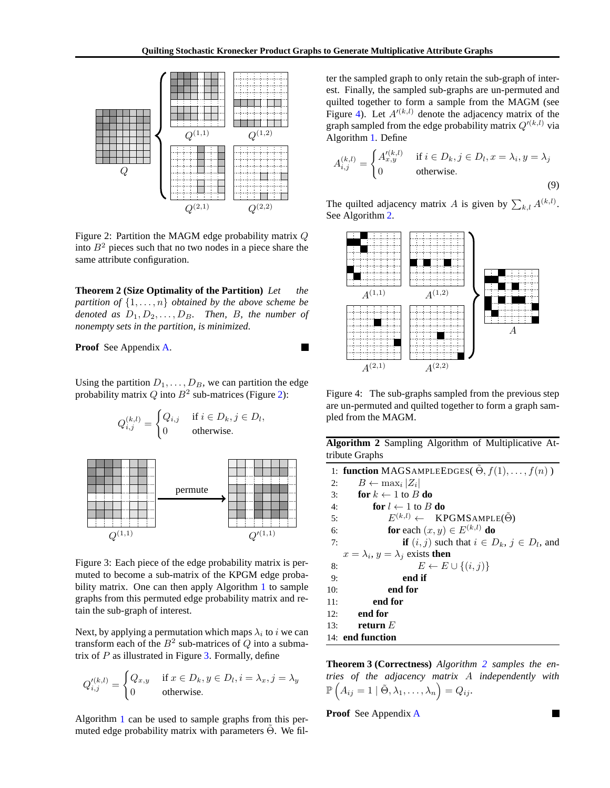$\blacksquare$ 



<span id="page-3-0"></span>Figure 2: Partition the MAGM edge probability matrix Q into  $B<sup>2</sup>$  pieces such that no two nodes in a piece share the same attribute configuration.

**Theorem 2 (Size Optimality of the Partition)** Let the *partition of*  $\{1, \ldots, n\}$  *obtained by the above scheme be denoted as*  $D_1, D_2, \ldots, D_B$ *. Then, B, the number of nonempty sets in the partition, is minimized.*

**Proof** See Appendix [A.](#page-9-0)

Using the partition  $D_1, \ldots, D_B$ , we can partition the edge probability matrix Q into  $B^2$  sub-matrices (Figure [2\)](#page-3-0):

$$
Q_{i,j}^{(k,l)} = \begin{cases} Q_{i,j} & \text{if } i \in D_k, j \in D_l, \\ 0 & \text{otherwise.} \end{cases}
$$



<span id="page-3-1"></span>Figure 3: Each piece of the edge probability matrix is permuted to become a sub-matrix of the KPGM edge proba-bility matrix. One can then apply Algorithm [1](#page-2-0) to sample graphs from this permuted edge probability matrix and retain the sub-graph of interest.

Next, by applying a permutation which maps  $\lambda_i$  to i we can transform each of the  $B^2$  sub-matrices of  $Q$  into a submatrix of  $P$  as illustrated in Figure [3.](#page-3-1) Formally, define

$$
Q_{i,j}^{\prime(k,l)} = \begin{cases} Q_{x,y} & \text{if } x \in D_k, y \in D_l, i = \lambda_x, j = \lambda_y \\ 0 & \text{otherwise.} \end{cases}
$$

Algorithm [1](#page-2-0) can be used to sample graphs from this permuted edge probability matrix with parameters  $\Theta$ . We filter the sampled graph to only retain the sub-graph of interest. Finally, the sampled sub-graphs are un-permuted and quilted together to form a sample from the MAGM (see Figure [4\)](#page-3-2). Let  $A<sup>(k,l)</sup>$  denote the adjacency matrix of the graph sampled from the edge probability matrix  $Q'^{(k,l)}$  via Algorithm [1.](#page-2-0) Define

<span id="page-3-4"></span>
$$
A_{i,j}^{(k,l)} = \begin{cases} A_{x,y}^{\prime(k,l)} & \text{if } i \in D_k, j \in D_l, x = \lambda_i, y = \lambda_j \\ 0 & \text{otherwise.} \end{cases}
$$
(9)

The quilted adjacency matrix A is given by  $\sum_{k,l} A^{(k,l)}$ . See Algorithm [2.](#page-3-3)



<span id="page-3-2"></span>Figure 4: The sub-graphs sampled from the previous step are un-permuted and quilted together to form a graph sampled from the MAGM.

**Algorithm 2** Sampling Algorithm of Multiplicative Attribute Graphs

<span id="page-3-3"></span>1: **function** MAGSAMPLEEDGES( $\tilde{\Theta}$ ,  $f(1), \ldots, f(n)$ ) 2:  $B \leftarrow \max_i |Z_i|$ 3: **for**  $k \leftarrow 1$  to B **do** 4: **for**  $l \leftarrow 1$  to B **do** 5:  $E^{(k,l)} \leftarrow \text{KPGMSAMPLE}(\tilde{\Theta})$ 6: **for** each  $(x, y) \in E^{(k,l)}$  **do** 7: **if**  $(i, j)$  such that  $i \in D_k$ ,  $j \in D_l$ , and  $x = \lambda_i$ ,  $y = \lambda_j$  exists **then** 8:  $E \leftarrow E \cup \{(i, j)\}$ 9: **end if** 10: **end for** 11: **end for** 12: **end for** 13: **return** E 14: **end function**

**Theorem 3 (Correctness)** *Algorithm [2](#page-3-3) samples the entries of the adjacency matrix* A *independently with*  $\mathbb{P}\left(A_{ij}=1 \mid \tilde{\Theta}, \lambda_1, \ldots, \lambda_n\right) = Q_{ij}.$ 

**Proof** See Appendix [A](#page-9-0)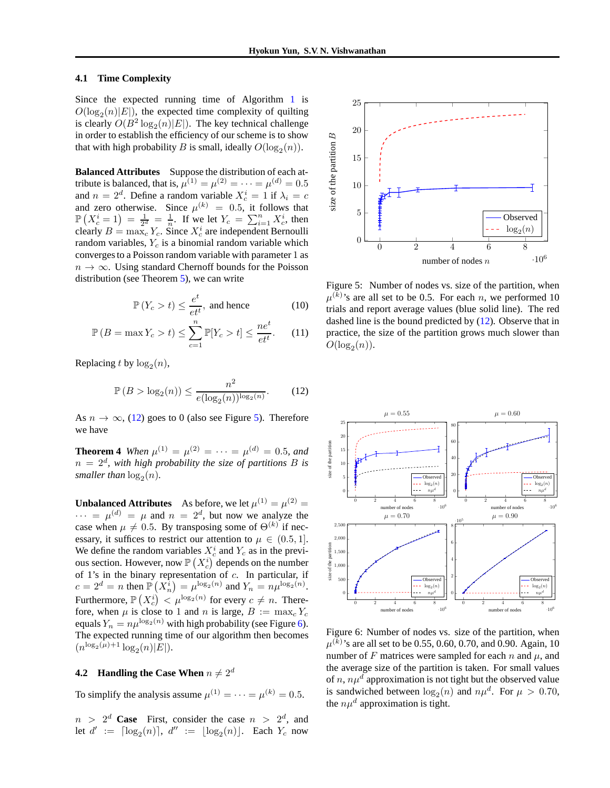### **4.1 Time Complexity**

Since the expected running time of Algorithm [1](#page-2-0) is  $O(\log_2(n)|E|)$ , the expected time complexity of quilting is clearly  $O(B^2 \log_2(n)|E|)$ . The key technical challenge in order to establish the efficiency of our scheme is to show that with high probability B is small, ideally  $O(\log_2(n))$ .

**Balanced Attributes** Suppose the distribution of each attribute is balanced, that is,  $\mu^{(1)} = \mu^{(2)} = \cdots = \mu^{(d)} = 0.5$ and  $n = 2^d$ . Define a random variable  $X_c^i = 1$  if  $\lambda_i = c$ and zero otherwise. Since  $\mu^{(k)} = 0.5$ , it follows that  $\mathbb{P}\left(X_c^i = 1\right) = \frac{1}{2^d} = \frac{1}{n}$ . If we let  $Y_c = \sum_{i=1}^n X_c^i$ , then clearly  $B = \max_c Y_c$ . Since  $X_c^i$  are independent Bernoulli random variables,  $Y_c$  is a binomial random variable which converges to a Poisson random variable with parameter 1 as  $n \to \infty$ . Using standard Chernoff bounds for the Poisson distribution (see Theorem [5\)](#page-9-1), we can write

$$
\mathbb{P}\left(Y_c > t\right) \le \frac{e^t}{e t^t}, \text{ and hence} \tag{10}
$$

$$
\mathbb{P}\left(B=\max Y_c > t\right) \le \sum_{c=1}^n \mathbb{P}[Y_c > t] \le \frac{ne^t}{et^t}.\tag{11}
$$

Replacing t by  $log_2(n)$ ,

$$
\mathbb{P}\left(B > \log_2(n)\right) \le \frac{n^2}{e(\log_2(n))^{\log_2(n)}}.\tag{12}
$$

<span id="page-4-4"></span>As  $n \to \infty$ , [\(12\)](#page-4-1) goes to 0 (also see Figure [5\)](#page-4-2). Therefore we have

**Theorem 4** *When*  $\mu^{(1)} = \mu^{(2)} = \cdots = \mu^{(d)} = 0.5$ *, and*  $n = 2<sup>d</sup>$ , with high probability the size of partitions B is *smaller than*  $\log_2(n)$ .

**Unbalanced Attributes** As before, we let  $\mu^{(1)} = \mu^{(2)} =$  $\cdots = \mu^{(d)} = \mu$  and  $n = 2^d$ , but now we analyze the case when  $\mu \neq 0.5$ . By transposing some of  $\Theta^{(k)}$  if necessary, it suffices to restrict our attention to  $\mu \in (0.5, 1]$ . We define the random variables  $X_c^i$  and  $Y_c$  as in the previous section. However, now  $\mathbb{P}\left(X_c^i\right)$  depends on the number of 1's in the binary representation of  $c$ . In particular, if  $c = 2^d = n$  then  $\mathbb{P}(X_n^i) = \mu^{\log_2(n)}$  and  $Y_n = n\mu^{\log_2(n)}$ . Furthermore,  $\mathbb{P}\left(X_c^i\right) < \mu^{\log_2(n)}$  for every  $c \neq n$ . Therefore, when  $\mu$  is close to 1 and n is large,  $B := \max_c Y_c$ equals  $Y_n = n\mu^{\log_2(n)}$  with high probability (see Figure [6\)](#page-4-3). The expected running time of our algorithm then becomes  $(n^{\log_2(\mu)+1}\log_2(n)|E|).$ 

## <span id="page-4-0"></span>**4.2 Handling the Case When**  $n \neq 2^d$

To simplify the analysis assume  $\mu^{(1)} = \cdots = \mu^{(k)} = 0.5$ .

 $n > 2^d$  **Case** First, consider the case  $n > 2^d$ , and let  $d' := \lceil \log_2(n) \rceil$ ,  $d'' := \lfloor \log_2(n) \rfloor$ . Each  $Y_c$  now



<span id="page-4-2"></span>Figure 5: Number of nodes vs. size of the partition, when  $\mu^{(k)}$ 's are all set to be 0.5. For each *n*, we performed 10 trials and report average values (blue solid line). The red dashed line is the bound predicted by [\(12\)](#page-4-1). Observe that in practice, the size of the partition grows much slower than  $O(\log_2(n)).$ 

<span id="page-4-1"></span>

<span id="page-4-3"></span>Figure 6: Number of nodes vs. size of the partition, when  $\mu^{(k)}$ 's are all set to be 0.55, 0.60, 0.70, and 0.90. Again, 10 number of F matrices were sampled for each n and  $\mu$ , and the average size of the partition is taken. For small values of n,  $n\mu^d$  approximation is not tight but the observed value is sandwiched between  $\log_2(n)$  and  $n\mu^d$ . For  $\mu > 0.70$ , the  $n\mu^d$  approximation is tight.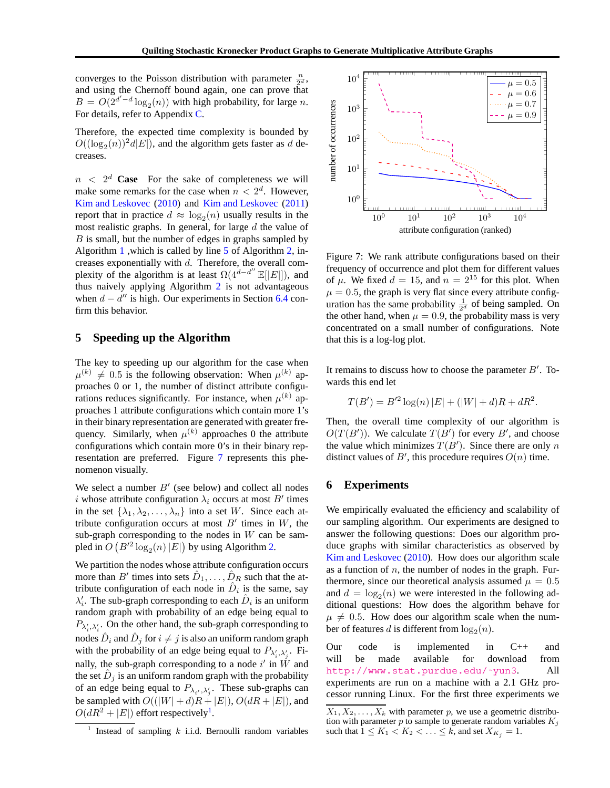converges to the Poisson distribution with parameter  $\frac{n}{2^d}$ , and using the Chernoff bound again, one can prove that  $B = O(2^{d'-d}\log_2(n))$  with high probability, for large n. For details, refer to Appendix [C.](#page-9-2)

Therefore, the expected time complexity is bounded by  $O((\log_2(n))^2 d|E|)$ , and the algorithm gets faster as d decreases.

 $n < 2<sup>d</sup>$  **Case** For the sake of completeness we will make some remarks for the case when  $n < 2^d$ . However, [Kim and Leskovec](#page-8-0) [\(2010\)](#page-8-0) and [Kim and Leskovec](#page-8-7) [\(2011\)](#page-8-7) report that in practice  $d \approx \log_2(n)$  usually results in the most realistic graphs. In general, for large  $d$  the value of  $B$  is small, but the number of edges in graphs sampled by Algorithm [1](#page-2-0) ,which is called by line [5](#page-3-3) of Algorithm [2,](#page-3-3) increases exponentially with  $d$ . Therefore, the overall complexity of the algorithm is at least  $\Omega(4^{d-d''} \mathbb{E}[|E|])$ , and thus naively applying Algorithm [2](#page-3-3) is not advantageous when  $d - d''$  is high. Our experiments in Section [6.4](#page-7-0) confirm this behavior.

## **5 Speeding up the Algorithm**

The key to speeding up our algorithm for the case when  $\mu^{(k)} \neq 0.5$  is the following observation: When  $\mu^{(k)}$  approaches 0 or 1, the number of distinct attribute configurations reduces significantly. For instance, when  $\mu^{(k)}$  approaches 1 attribute configurations which contain more 1's in their binary representation are generated with greater frequency. Similarly, when  $\mu^{(k)}$  approaches 0 the attribute configurations which contain more 0's in their binary representation are preferred. Figure [7](#page-5-0) represents this phenomenon visually.

We select a number  $B'$  (see below) and collect all nodes i whose attribute configuration  $\lambda_i$  occurs at most B' times in the set  $\{\lambda_1, \lambda_2, \ldots, \lambda_n\}$  into a set W. Since each attribute configuration occurs at most  $B'$  times in  $W$ , the sub-graph corresponding to the nodes in  $W$  can be sampled in  $O(P'^2 \log_2(n)|E|)$  by using Algorithm [2.](#page-3-3)

We partition the nodes whose attribute configuration occurs more than B' times into sets  $\hat{D}_1, \ldots, \hat{D}_R$  such that the attribute configuration of each node in  $\hat{D}_i$  is the same, say  $\lambda'_i$ . The sub-graph corresponding to each  $\hat{D}_i$  is an uniform random graph with probability of an edge being equal to  $P_{\lambda'_i, \lambda'_i}$ . On the other hand, the sub-graph corresponding to nodes  $\hat{D}_i$  and  $\hat{D}_j$  for  $i\neq j$  is also an uniform random graph with the probability of an edge being equal to  $P_{\lambda'_i, \lambda'_j}$ . Finally, the sub-graph corresponding to a node i' in  $\dot{W}$  and the set  $\hat{D}_j$  is an uniform random graph with the probability of an edge being equal to  $P_{\lambda_i, \lambda'_j}$ . These sub-graphs can be sampled with  $O((|W|+d)R+|E|)$ ,  $O(dR+|E|)$ , and  $O(dR^2 + |E|)$  effort respectively<sup>[1](#page-5-1)</sup>.



<span id="page-5-0"></span>Figure 7: We rank attribute configurations based on their frequency of occurrence and plot them for different values of  $\mu$ . We fixed  $d = 15$ , and  $n = 2^{15}$  for this plot. When  $\mu = 0.5$ , the graph is very flat since every attribute configuration has the same probability  $\frac{1}{2^d}$  of being sampled. On the other hand, when  $\mu = 0.9$ , the probability mass is very concentrated on a small number of configurations. Note that this is a log-log plot.

It remains to discuss how to choose the parameter  $B'$ . Towards this end let

$$
T(B') = B'^{2} \log(n) |E| + (|W| + d)R + dR^{2}.
$$

Then, the overall time complexity of our algorithm is  $O(T(B'))$ . We calculate  $T(B')$  for every B', and choose the value which minimizes  $T(B')$ . Since there are only n distinct values of  $B'$ , this procedure requires  $O(n)$  time.

## **6 Experiments**

We empirically evaluated the efficiency and scalability of our sampling algorithm. Our experiments are designed to answer the following questions: Does our algorithm produce graphs with similar characteristics as observed by [Kim and Leskovec](#page-8-0) [\(2010\)](#page-8-0). How does our algorithm scale as a function of  $n$ , the number of nodes in the graph. Furthermore, since our theoretical analysis assumed  $\mu = 0.5$ and  $d = \log_2(n)$  we were interested in the following additional questions: How does the algorithm behave for  $\mu \neq 0.5$ . How does our algorithm scale when the number of features d is different from  $\log_2(n)$ .

Our code is implemented in C++ and will be made available for download from http://www.stat.purdue.edu/~yun3. All experiments are run on a machine with a 2.1 GHz processor running Linux. For the first three experiments we

<span id="page-5-1"></span><sup>&</sup>lt;sup>1</sup> Instead of sampling  $k$  i.i.d. Bernoulli random variables

 $\overline{X_1, X_2, \ldots, X_k}$  with parameter p, we use a geometric distribution with parameter  $p$  to sample to generate random variables  $K_j$ such that  $1 \leq K_1 < K_2 < \ldots \leq k$ , and set  $X_{K_i} = 1$ .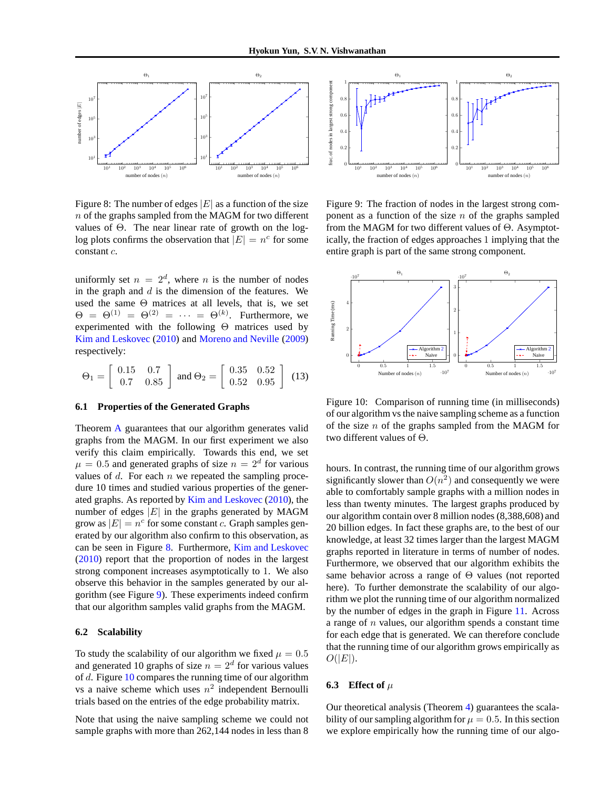

<span id="page-6-0"></span>Figure 8: The number of edges  $|E|$  as a function of the size  $n$  of the graphs sampled from the MAGM for two different values of Θ. The near linear rate of growth on the loglog plots confirms the observation that  $|E| = n^c$  for some constant c.

uniformly set  $n = 2^d$ , where n is the number of nodes in the graph and  $d$  is the dimension of the features. We used the same  $\Theta$  matrices at all levels, that is, we set  $\Theta = \Theta^{(1)} = \Theta^{(2)} = \cdots = \Theta^{(k)}$ . Furthermore, we experimented with the following Θ matrices used by [Kim and Leskovec](#page-8-0) [\(2010\)](#page-8-0) and [Moreno and Neville](#page-8-6) [\(2009\)](#page-8-6) respectively:

$$
\Theta_1 = \left[ \begin{array}{cc} 0.15 & 0.7 \\ 0.7 & 0.85 \end{array} \right] \text{ and } \Theta_2 = \left[ \begin{array}{cc} 0.35 & 0.52 \\ 0.52 & 0.95 \end{array} \right] (13)
$$

#### **6.1 Properties of the Generated Graphs**

Theorem [A](#page-9-3) guarantees that our algorithm generates valid graphs from the MAGM. In our first experiment we also verify this claim empirically. Towards this end, we set  $\mu = 0.5$  and generated graphs of size  $n = 2^d$  for various values of  $d$ . For each  $n$  we repeated the sampling procedure 10 times and studied various properties of the generated graphs. As reported by [Kim and Leskovec](#page-8-0) [\(2010](#page-8-0)), the number of edges  $|E|$  in the graphs generated by MAGM grow as  $|E| = n^c$  for some constant c. Graph samples generated by our algorithm also confirm to this observation, as can be seen in Figure [8.](#page-6-0) Furthermore, [Kim and Leskovec](#page-8-0) [\(2010\)](#page-8-0) report that the proportion of nodes in the largest strong component increases asymptotically to 1. We also observe this behavior in the samples generated by our algorithm (see Figure [9\)](#page-6-1). These experiments indeed confirm that our algorithm samples valid graphs from the MAGM.

#### **6.2 Scalability**

To study the scalability of our algorithm we fixed  $\mu = 0.5$ and generated 10 graphs of size  $n = 2<sup>d</sup>$  for various values of d. Figure [10](#page-6-2) compares the running time of our algorithm vs a naive scheme which uses  $n^2$  independent Bernoulli trials based on the entries of the edge probability matrix.

Note that using the naive sampling scheme we could not sample graphs with more than 262,144 nodes in less than 8



<span id="page-6-1"></span>Figure 9: The fraction of nodes in the largest strong component as a function of the size  $n$  of the graphs sampled from the MAGM for two different values of Θ. Asymptotically, the fraction of edges approaches 1 implying that the entire graph is part of the same strong component.



<span id="page-6-2"></span>Figure 10: Comparison of running time (in milliseconds) of our algorithm vs the naive sampling scheme as a function of the size  $n$  of the graphs sampled from the MAGM for two different values of Θ.

hours. In contrast, the running time of our algorithm grows significantly slower than  $O(n^2)$  and consequently we were able to comfortably sample graphs with a million nodes in less than twenty minutes. The largest graphs produced by our algorithm contain over 8 million nodes (8,388,608) and 20 billion edges. In fact these graphs are, to the best of our knowledge, at least 32 times larger than the largest MAGM graphs reported in literature in terms of number of nodes. Furthermore, we observed that our algorithm exhibits the same behavior across a range of Θ values (not reported here). To further demonstrate the scalability of our algorithm we plot the running time of our algorithm normalized by the number of edges in the graph in Figure [11.](#page-7-1) Across a range of  $n$  values, our algorithm spends a constant time for each edge that is generated. We can therefore conclude that the running time of our algorithm grows empirically as  $O(|E|)$ .

## **6.3** Effect of  $\mu$

Our theoretical analysis (Theorem [4\)](#page-4-4) guarantees the scalability of our sampling algorithm for  $\mu = 0.5$ . In this section we explore empirically how the running time of our algo-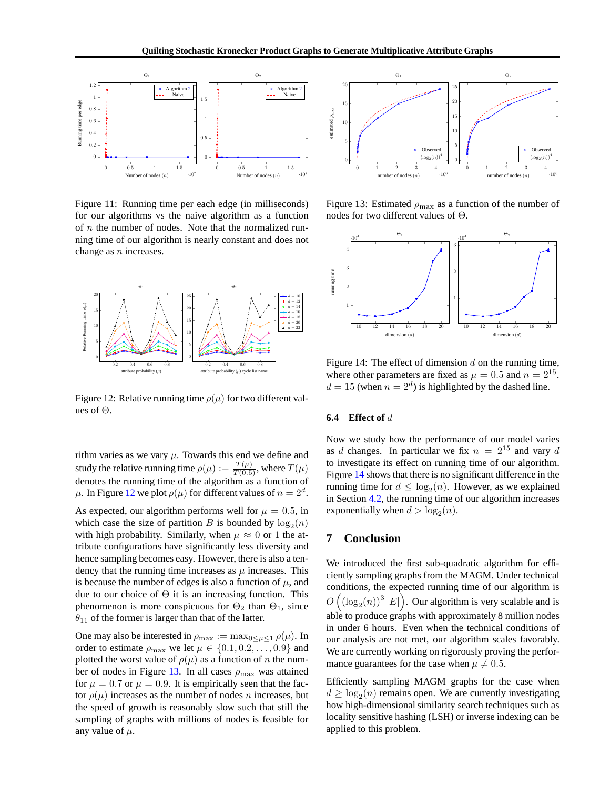

<span id="page-7-1"></span>Figure 11: Running time per each edge (in milliseconds) for our algorithms vs the naive algorithm as a function of  $n$  the number of nodes. Note that the normalized running time of our algorithm is nearly constant and does not change as n increases.



<span id="page-7-2"></span>Figure 12: Relative running time  $\rho(\mu)$  for two different values of  $\Theta$ .

rithm varies as we vary  $\mu$ . Towards this end we define and study the relative running time  $\rho(\mu) := \frac{T(\mu)}{T(0.5)}$ , where  $T(\mu)$ denotes the running time of the algorithm as a function of  $\mu$ . In Figure [12](#page-7-2) we plot  $\rho(\mu)$  for different values of  $n=2^d$ .

As expected, our algorithm performs well for  $\mu = 0.5$ , in which case the size of partition B is bounded by  $log_2(n)$ with high probability. Similarly, when  $\mu \approx 0$  or 1 the attribute configurations have significantly less diversity and hence sampling becomes easy. However, there is also a tendency that the running time increases as  $\mu$  increases. This is because the number of edges is also a function of  $\mu$ , and due to our choice of  $\Theta$  it is an increasing function. This phenomenon is more conspicuous for  $\Theta_2$  than  $\Theta_1$ , since  $\theta_{11}$  of the former is larger than that of the latter.

One may also be interested in  $\rho_{\text{max}} := \max_{0 \leq \mu \leq 1} \rho(\mu)$ . In order to estimate  $\rho_{\text{max}}$  we let  $\mu \in \{0.1, 0.2, \ldots, 0.9\}$  and plotted the worst value of  $\rho(\mu)$  as a function of n the num-ber of nodes in Figure [13.](#page-7-3) In all cases  $\rho_{\text{max}}$  was attained for  $\mu = 0.7$  or  $\mu = 0.9$ . It is empirically seen that the factor  $\rho(\mu)$  increases as the number of nodes *n* increases, but the speed of growth is reasonably slow such that still the sampling of graphs with millions of nodes is feasible for any value of  $\mu$ .



<span id="page-7-3"></span>Figure 13: Estimated  $\rho_{\text{max}}$  as a function of the number of nodes for two different values of Θ.



<span id="page-7-4"></span>Figure 14: The effect of dimension  $d$  on the running time, where other parameters are fixed as  $\mu = 0.5$  and  $n = 2^{15}$ .  $d = 15$  (when  $n = 2<sup>d</sup>$ ) is highlighted by the dashed line.

#### <span id="page-7-0"></span>**6.4 Effect of** d

Now we study how the performance of our model varies as d changes. In particular we fix  $n = 2^{15}$  and vary d to investigate its effect on running time of our algorithm. Figure [14](#page-7-4) shows that there is no significant difference in the running time for  $d \leq \log_2(n)$ . However, as we explained in Section [4.2,](#page-4-0) the running time of our algorithm increases exponentially when  $d > log_2(n)$ .

## **7 Conclusion**

We introduced the first sub-quadratic algorithm for efficiently sampling graphs from the MAGM. Under technical conditions, the expected running time of our algorithm is  $O\left(\left(\log_2(n)\right)^3 |E|\right)$ . Our algorithm is very scalable and is able to produce graphs with approximately 8 million nodes in under 6 hours. Even when the technical conditions of our analysis are not met, our algorithm scales favorably. We are currently working on rigorously proving the performance guarantees for the case when  $\mu \neq 0.5$ .

Efficiently sampling MAGM graphs for the case when  $d \geq \log_2(n)$  remains open. We are currently investigating how high-dimensional similarity search techniques such as locality sensitive hashing (LSH) or inverse indexing can be applied to this problem.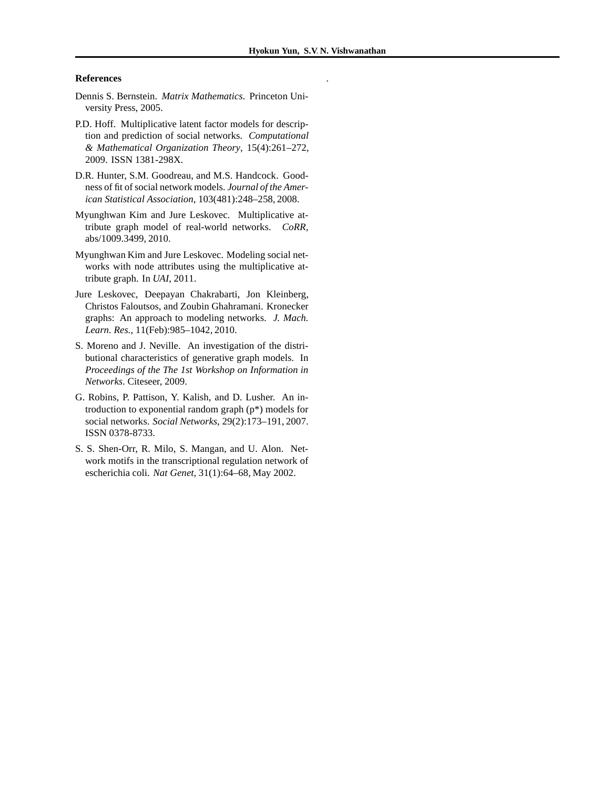.

#### **References**

- <span id="page-8-8"></span>Dennis S. Bernstein. *Matrix Mathematics*. Princeton University Press, 2005.
- <span id="page-8-5"></span>P.D. Hoff. Multiplicative latent factor models for description and prediction of social networks. *Computational & Mathematical Organization Theory*, 15(4):261–272, 2009. ISSN 1381-298X.
- <span id="page-8-2"></span>D.R. Hunter, S.M. Goodreau, and M.S. Handcock. Goodness of fit of social network models. *Journal of the American Statistical Association*, 103(481):248–258, 2008.
- <span id="page-8-0"></span>Myunghwan Kim and Jure Leskovec. Multiplicative attribute graph model of real-world networks. *CoRR*, abs/1009.3499, 2010.
- <span id="page-8-7"></span>Myunghwan Kim and Jure Leskovec. Modeling social networks with node attributes using the multiplicative attribute graph. In *UAI*, 2011.
- <span id="page-8-1"></span>Jure Leskovec, Deepayan Chakrabarti, Jon Kleinberg, Christos Faloutsos, and Zoubin Ghahramani. Kronecker graphs: An approach to modeling networks. *J. Mach. Learn. Res.*, 11(Feb):985–1042, 2010.
- <span id="page-8-6"></span>S. Moreno and J. Neville. An investigation of the distributional characteristics of generative graph models. In *Proceedings of the The 1st Workshop on Information in Networks*. Citeseer, 2009.
- <span id="page-8-4"></span>G. Robins, P. Pattison, Y. Kalish, and D. Lusher. An introduction to exponential random graph (p\*) models for social networks. *Social Networks*, 29(2):173–191, 2007. ISSN 0378-8733.
- <span id="page-8-3"></span>S. S. Shen-Orr, R. Milo, S. Mangan, and U. Alon. Network motifs in the transcriptional regulation network of escherichia coli. *Nat Genet*, 31(1):64–68, May 2002.